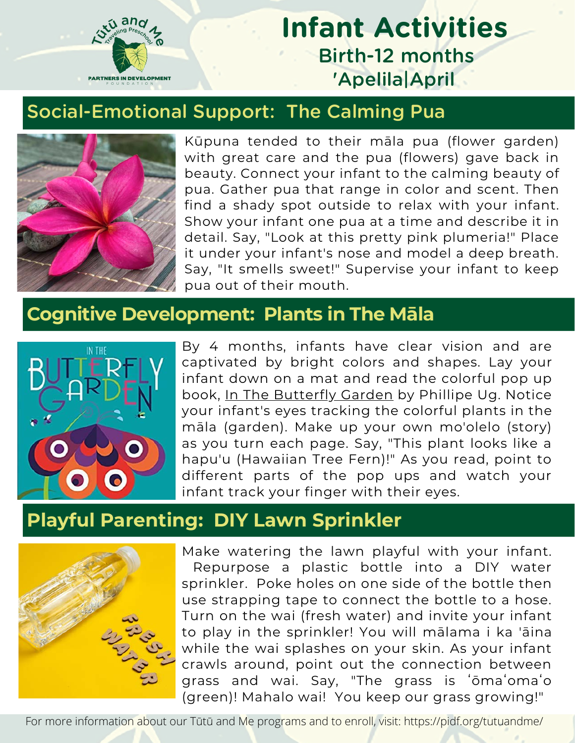

# **Infant Activities** Birth-12 months 'Apelila|April

#### Social-Emotional Support: The Calming Pua



Kūpuna tended to their māla pua (flower garden) with great care and the pua (flowers) gave back in beauty. Connect your infant to the calming beauty of pua. Gather pua that range in color and scent. Then find a shady spot outside to relax with your infant. Show your infant one pua at a time and describe it in detail. Say, "Look at this pretty pink plumeria!" Place it under your infant's nose and model a deep breath. Say, "It smells sweet!" Supervise your infant to keep pua out of their mouth.

#### **Cognitive Development: Plants in The Māla**



By 4 months, infants have clear vision and are captivated by bright colors and shapes. Lay your infant down on a mat and read the colorful pop up book, In The Butterfly Garden by Phillipe Ug. Notice your infant's eyes tracking the colorful plants in the māla (garden). Make up your own mo'olelo (story) as you turn each page. Say, "This plant looks like a hapu'u (Hawaiian Tree Fern)!" As you read, point to different parts of the pop ups and watch your infant track your finger with their eyes.

### **Playful Parenting: DIY Lawn Sprinkler**



Make watering the lawn playful with your infant. Repurpose a plastic bottle into a DIY water sprinkler. Poke holes on one side of the bottle then use strapping tape to connect the bottle to a hose. Turn on the wai (fresh water) and invite your infant to play in the sprinkler! You will mālama i ka 'āina while the wai splashes on your skin. As your infant crawls around, point out the connection between grass and wai. Say, "The grass is ʻōmaʻomaʻo (green)! Mahalo wai! You keep our grass growing!"

For more information about our Tūtū and Me programs and to enroll, visit: https://pidf.org/tutuandme/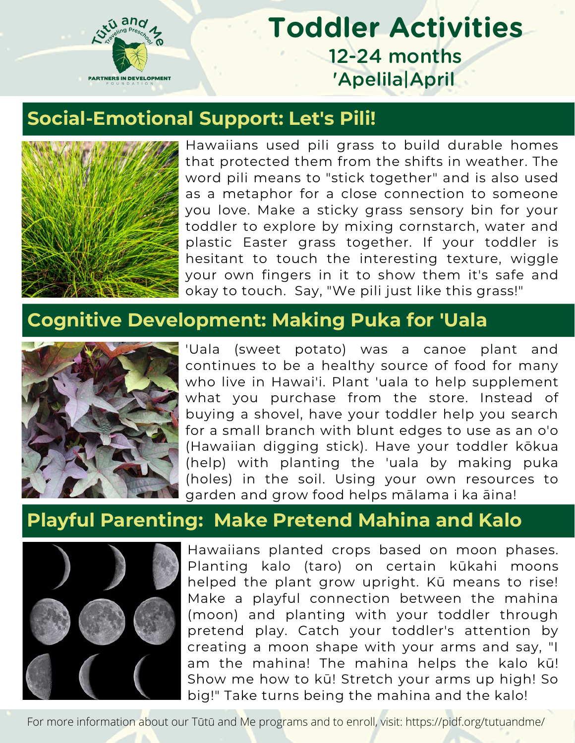

## **Toddler Activities** 12-24 months 'Apelila|April

### **Social-Emotional Support: Let's Pili!**



Hawaiians used pili grass to build durable homes that protected them from the shifts in weather. The word pili means to "stick together" and is also used as a metaphor for a close connection to someone you love. Make a sticky grass sensory bin for your toddler to explore by mixing cornstarch, water and plastic Easter grass together. If your toddler is hesitant to touch the interesting texture, wiggle your own fingers in it to show them it's safe and okay to touch. Say, "We pili just like this grass!"

#### **Cognitive Development: Making Puka for 'Uala**



'Uala (sweet potato) was a canoe plant and continues to be a healthy source of food for many who live in Hawai'i. Plant 'uala to help supplement what you purchase from the store. Instead of buying a shovel, have your toddler help you search for a small branch with blunt edges to use as an o'o (Hawaiian digging stick). Have your toddler kōkua (help) with planting the 'uala by making puka (holes) in the soil. Using your own resources to garden and grow food helps mālama i ka āina!

#### **Playful Parenting: Make Pretend Mahina and Kalo**



Hawaiians planted crops based on moon phases. Planting kalo (taro) on certain kūkahi moons helped the plant grow upright. Kū means to rise! Make a playful connection between the mahina (moon) and planting with your toddler through pretend play. Catch your toddler's attention by creating a moon shape with your arms and say, "I am the mahina! The mahina helps the kalo kū! Show me how to kū! Stretch your arms up high! So big!" Take turns being the mahina and the kalo!

For more information about our Tūtū and Me programs and to enroll, visit: https://pidf.org/tutuandme/